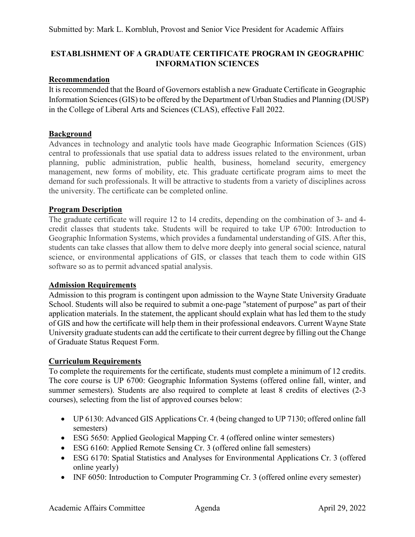# **ESTABLISHMENT OF A GRADUATE CERTIFICATE PROGRAM IN GEOGRAPHIC INFORMATION SCIENCES**

# **Recommendation**

It is recommended that the Board of Governors establish a new Graduate Certificate in Geographic Information Sciences (GIS) to be offered by the Department of Urban Studies and Planning (DUSP) in the College of Liberal Arts and Sciences (CLAS), effective Fall 2022.

# **Background**

Advances in technology and analytic tools have made Geographic Information Sciences (GIS) central to professionals that use spatial data to address issues related to the environment, urban planning, public administration, public health, business, homeland security, emergency management, new forms of mobility, etc. This graduate certificate program aims to meet the demand for such professionals. It will be attractive to students from a variety of disciplines across the university. The certificate can be completed online.

# **Program Description**

The graduate certificate will require 12 to 14 credits, depending on the combination of 3- and 4 credit classes that students take. Students will be required to take UP 6700: Introduction to Geographic Information Systems, which provides a fundamental understanding of GIS. After this, students can take classes that allow them to delve more deeply into general social science, natural science, or environmental applications of GIS, or classes that teach them to code within GIS software so as to permit advanced spatial analysis.

## **Admission Requirements**

Admission to this program is contingent upon admission to the Wayne State University [Graduate](https://gradschool.wayne.edu/admissions)  [School.](https://gradschool.wayne.edu/admissions) Students will also be required to submit a one-page "statement of purpose" as part of their application materials. In the statement, the applicant should explain what has led them to the study of GIS and how the certificate will help them in their professional endeavors. Current Wayne State University graduate students can add the certificate to their current degree by filling out th[e Change](https://wayne.edu/admissions/pdf/changeofstatus.pdf)  [of Graduate Status Request Form.](https://wayne.edu/admissions/pdf/changeofstatus.pdf)

## **Curriculum Requirements**

To complete the requirements for the certificate, students must complete a minimum of 12 credits. The core course is UP 6700: Geographic Information Systems (offered online fall, winter, and summer semesters). Students are also required to complete at least 8 credits of electives (2-3 courses), selecting from the list of approved courses below:

- UP 6130: Advanced GIS Applications Cr. 4 (being changed to UP 7130; offered online fall semesters)
- ESG 5650: Applied Geological Mapping Cr. 4 (offered online winter semesters)
- ESG 6160: Applied Remote Sensing Cr. 3 (offered online fall semesters)
- ESG 6170: Spatial Statistics and Analyses for Environmental Applications Cr. 3 (offered online yearly)
- INF 6050: Introduction to Computer Programming Cr. 3 (offered online every semester)